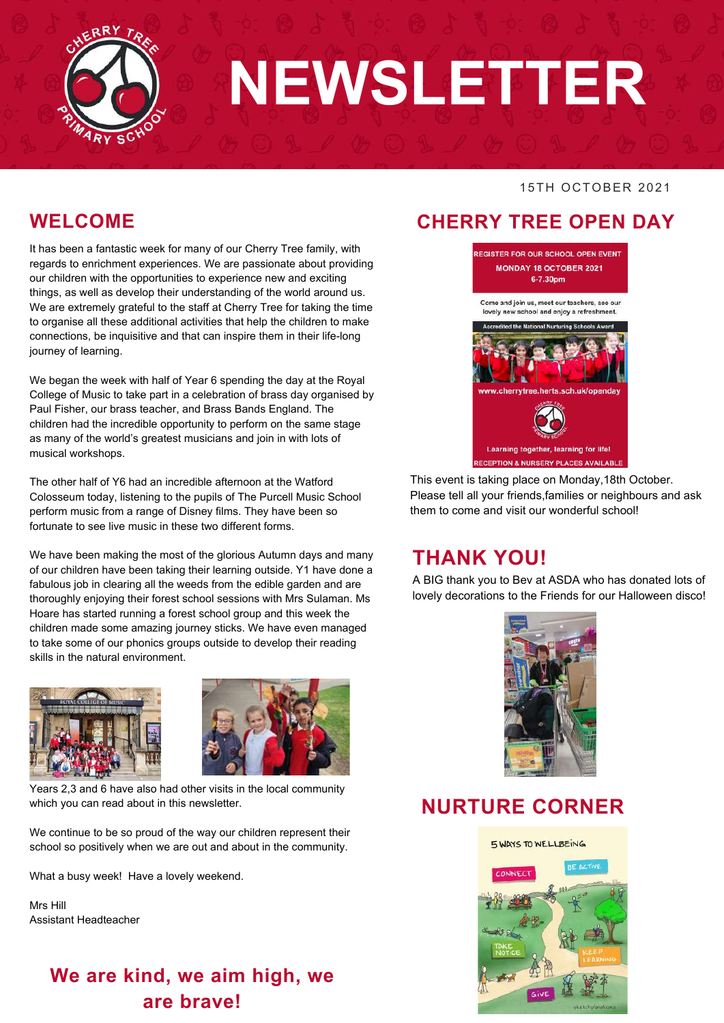

# **NEWSLETTER**

#### 15TH OCTOBER 2021

### **WELCOME**

It has been a fantastic week for many of our Cherry Tree family, with regards to enrichment experiences. We are passionate about providing our children with the opportunities to experience new and exciting things, as well as develop their understanding of the world around us. We are extremely grateful to the staff at Cherry Tree for taking the time to organise all these additional activities that help the children to make connections, be inquisitive and that can inspire them in their life-long journey of learning.

We began the week with half of Year 6 spending the day at the Royal College of Music to take part in a celebration of brass day organised by Paul Fisher, our brass teacher, and Brass Bands England. The children had the incredible opportunity to perform on the same stage as many of the world's greatest musicians and join in with lots of musical workshops.

The other half of Y6 had an incredible afternoon at the Watford Colosseum today, listening to the pupils of The Purcell Music School perform music from a range of Disney films. They have been so fortunate to see live music in these two different forms.

We have been making the most of the glorious Autumn days and many of our children have been taking their learning outside. Y1 have done a fabulous job in clearing all the weeds from the edible garden and are thoroughly enjoying their forest school sessions with Mrs Sulaman. Ms Hoare has started running a forest school group and this week the children made some amazing journey sticks. We have even managed to take some of our phonics groups outside to develop their reading skills in the natural environment.





Years 2,3 and 6 have also had other visits in the local community which you can read about in this newsletter.

We continue to be so proud of the way our children represent their school so positively when we are out and about in the community.

What a busy week! Have a lovely weekend.

Mrs Hill Assistant Headteacher

### **We are kind, we aim high, we are brave!**

### **CHERRY TREE OPEN DAY**



This event is taking place on Monday,18th October. Please tell all your friends,families or neighbours and ask them to come and visit our wonderful school!

### **THANK YOU!**

A BIG thank you to Bev at ASDA who has donated lots of lovely decorations to the Friends for our Halloween disco!



### **NURTURE CORNER**

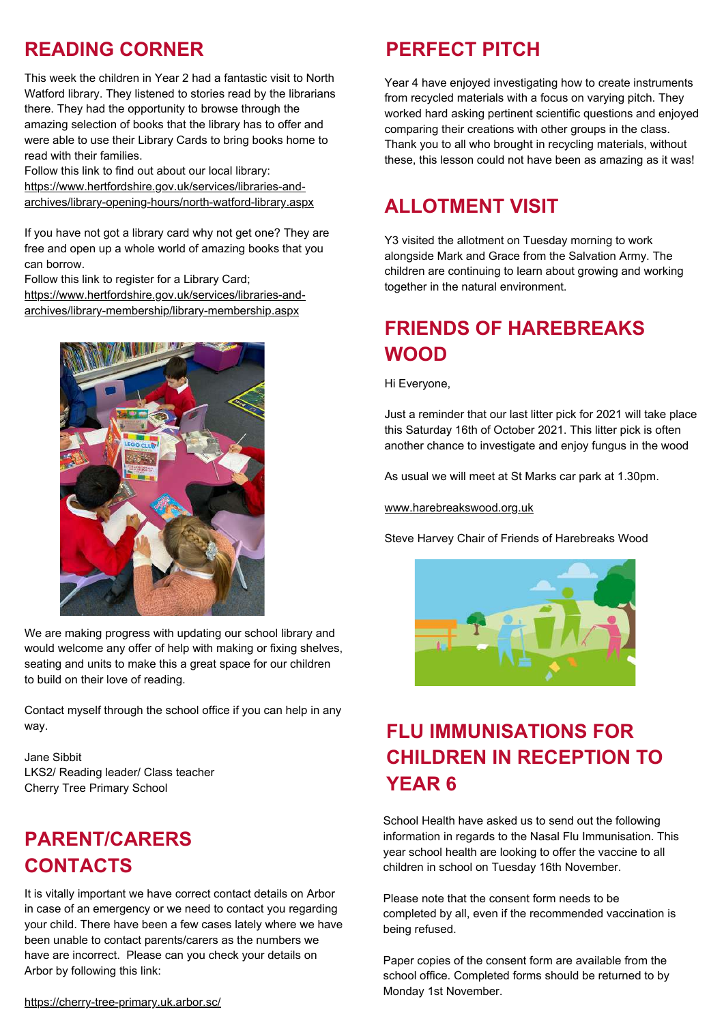### **READING CORNER**

This week the children in Year 2 had a fantastic visit to North Watford library. They listened to stories read by the librarians there. They had the opportunity to browse through the amazing selection of books that the library has to offer and were able to use their Library Cards to bring books home to read with their families.

Follow this link to find out about our local library: https://www.hertfordshire.gov.uk/services/libraries-andarchives/library-opening-hours/north-watford-library.aspx

If you have not got a library card why not get one? They are free and open up a whole world of amazing books that you can borrow.

Follow this link to register for a Library Card; https://www.hertfordshire.gov.uk/services/libraries-andarchives/library-membership/library-membership.aspx



We are making progress with updating our school library and would welcome any offer of help with making or fixing shelves, seating and units to make this a great space for our children to build on their love of reading.

Contact myself through the school office if you can help in any way.

Jane Sibbit LKS2/ Reading leader/ Class teacher Cherry Tree Primary School

### **PARENT/CARERS CONTACTS**

. been unable to contact parents/carers as the numbers we It is vitally important we have correct contact details on Arbor in case of an emergency or we need to contact you regarding your child. There have been a few cases lately where we have have are incorrect. Please can you check your details on Arbor by following this link:

### **PERFECT PITCH**

Year 4 have enjoyed investigating how to create instruments from recycled materials with a focus on varying pitch. They worked hard asking pertinent scientific questions and enjoyed comparing their creations with other groups in the class. Thank you to all who brought in recycling materials, without these, this lesson could not have been as amazing as it was!

### **ALLOTMENT VISIT**

Y3 visited the allotment on Tuesday morning to work alongside Mark and Grace from the Salvation Army. The children are continuing to learn about growing and working together in the natural environment.

### **FRIENDS OF HAREBREAKS WOOD**

Hi Everyone,

Just a reminder that our last litter pick for 2021 will take place this Saturday 16th of October 2021. This litter pick is often another chance to investigate and enjoy fungus in the wood

As usual we will meet at St Marks car park at 1.30pm.

www.harebreakswood.org.uk

Steve Harvey Chair of Friends of Harebreaks Wood



### **FLU IMMUNISATIONS FOR CHILDREN IN RECEPTION TO YEAR 6**

School Health have asked us to send out the following information in regards to the Nasal Flu Immunisation. This year school health are looking to offer the vaccine to all children in school on Tuesday 16th November.

Please note that the consent form needs to be completed by all, even if the recommended vaccination is being refused.

Paper copies of the consent form are available from the school office. Completed forms should be returned to by Monday 1st November.

[https://cherry-tree-primary.uk.arbor.sc/](https://cherry-tree-primary.uk.arbor.sc/?/home-ui/index)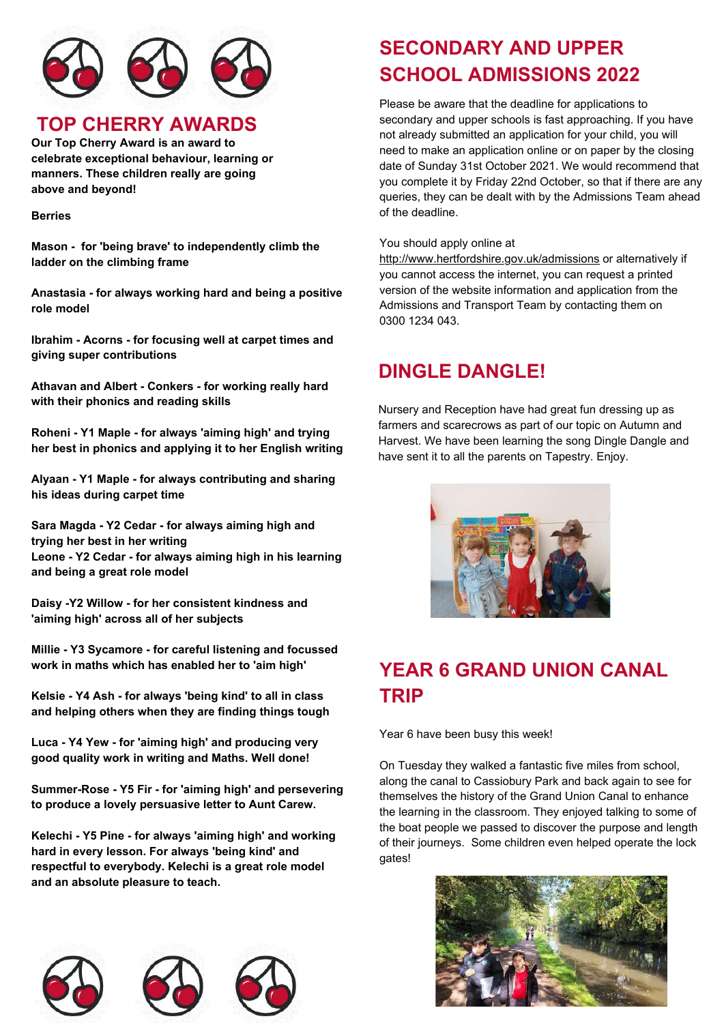

### **TOP CHERRY AWARDS**

**Our Top Cherry Award is an award to celebrate exceptional behaviour, learning or manners. These children really are going above and beyond!**

#### **Berries**

**Mason - for 'being brave' to independently climb the ladder on the climbing frame**

**Anastasia - for always working hard and being a positive role model**

**Ibrahim - Acorns - for focusing well at carpet times and giving super contributions**

**Athavan and Albert - Conkers - for working really hard with their phonics and reading skills**

**Roheni - Y1 Maple - for always 'aiming high' and trying her best in phonics and applying it to her English writing**

**Alyaan - Y1 Maple - for always contributing and sharing his ideas during carpet time**

**Sara Magda - Y2 Cedar - for always aiming high and trying her best in her writing Leone - Y2 Cedar - for always aiming high in his learning and being a great role model**

**Daisy -Y2 Willow - for her consistent kindness and 'aiming high' across all of her subjects**

**Millie - Y3 Sycamore - for careful listening and focussed work in maths which has enabled her to 'aim high'**

**Kelsie - Y4 Ash - for always 'being kind' to all in class and helping others when they are finding things tough**

**Luca - Y4 Yew - for 'aiming high' and producing very good quality work in writing and Maths. Well done!**

**Summer-Rose - Y5 Fir - for 'aiming high' and persevering to produce a lovely persuasive letter to Aunt Carew.**

**Kelechi - Y5 Pine - for always 'aiming high' and working hard in every lesson. For always 'being kind' and respectful to everybody. Kelechi is a great role model and an absolute pleasure to teach.**



### **SECONDARY AND UPPER SCHOOL ADMISSIONS 2022**

Please be aware that the deadline for applications to secondary and upper schools is fast approaching. If you have not already submitted an application for your child, you will need to make an application online or on paper by the closing date of Sunday 31st October 2021. We would recommend that you complete it by Friday 22nd October, so that if there are any queries, they can be dealt with by the Admissions Team ahead of the deadline.

You should apply online at

<http://www.hertfordshire.gov.uk/admissions> or alternatively if you cannot access the internet, you can request a printed version of the website information and application from the Admissions and Transport Team by contacting them on 0300 1234 043.

### **DINGLE DANGLE!**

Nursery and Reception have had great fun dressing up as farmers and scarecrows as part of our topic on Autumn and Harvest. We have been learning the song Dingle Dangle and have sent it to all the parents on Tapestry. Enjoy.



### **YEAR 6 GRAND UNION CANAL TRIP**

Year 6 have been busy this week!

On Tuesday they walked a fantastic five miles from school, along the canal to Cassiobury Park and back again to see for themselves the history of the Grand Union Canal to enhance the learning in the classroom. They enjoyed talking to some of the boat people we passed to discover the purpose and length of their journeys. Some children even helped operate the lock gates!